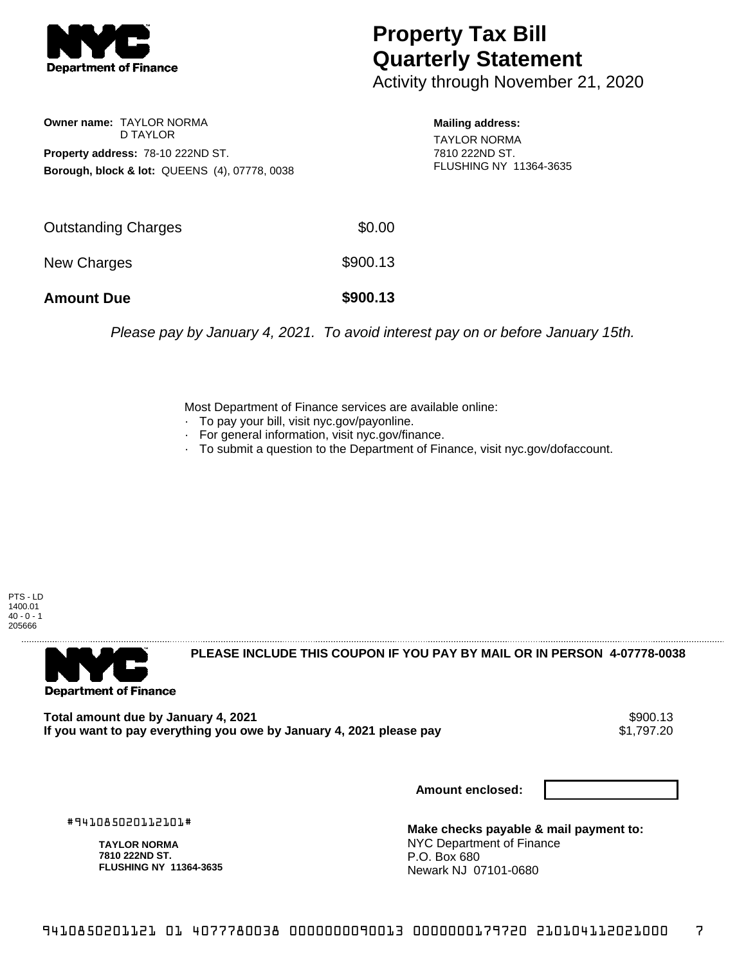

## **Property Tax Bill Quarterly Statement**

Activity through November 21, 2020

**Owner name:** TAYLOR NORMA D TAYLOR **Property address:** 78-10 222ND ST. **Borough, block & lot:** QUEENS (4), 07778, 0038

**Mailing address:** TAYLOR NORMA 7810 222ND ST. FLUSHING NY 11364-3635

| <b>Amount Due</b>          | \$900.13 |
|----------------------------|----------|
| New Charges                | \$900.13 |
| <b>Outstanding Charges</b> | \$0.00   |

Please pay by January 4, 2021. To avoid interest pay on or before January 15th.

Most Department of Finance services are available online:

- · To pay your bill, visit nyc.gov/payonline.
- For general information, visit nyc.gov/finance.
- · To submit a question to the Department of Finance, visit nyc.gov/dofaccount.

PTS - LD 1400.01  $40 - 0 - 1$ 205666



**PLEASE INCLUDE THIS COUPON IF YOU PAY BY MAIL OR IN PERSON 4-07778-0038** 

**Total amount due by January 4, 2021** \$900.13 If you want to pay everything you owe by January 4, 2021 please pay

**Amount enclosed:**

#941085020112101#

**TAYLOR NORMA 7810 222ND ST. FLUSHING NY 11364-3635**

**Make checks payable & mail payment to:** NYC Department of Finance P.O. Box 680 Newark NJ 07101-0680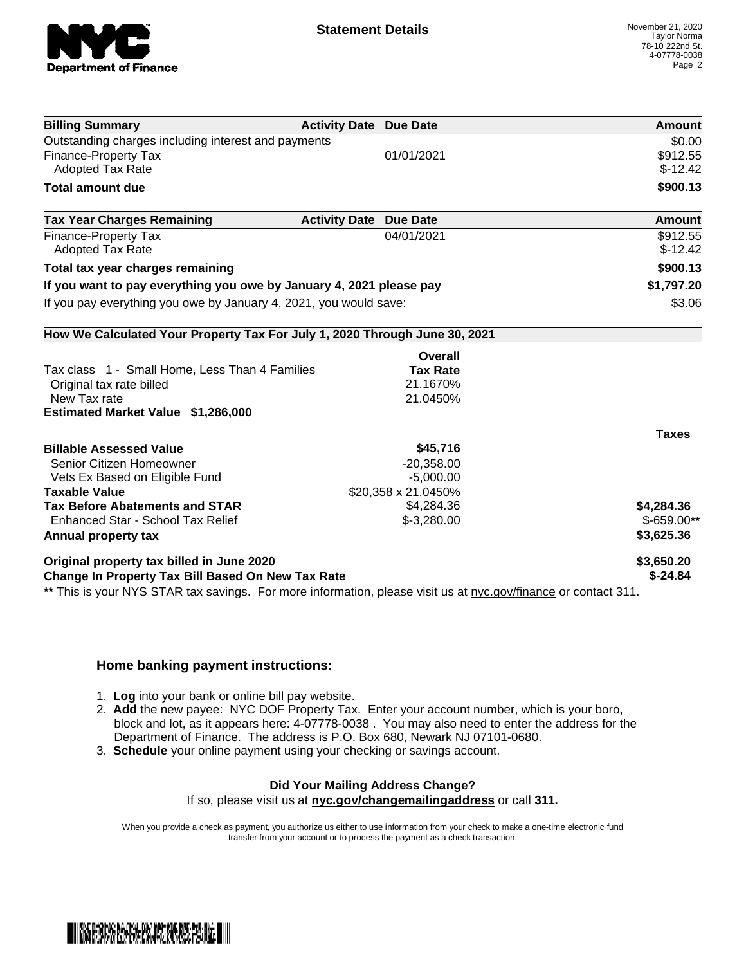

| <b>Billing Summary</b>                                                                                         | <b>Activity Date Due Date</b>           |            | <b>Amount</b>      |
|----------------------------------------------------------------------------------------------------------------|-----------------------------------------|------------|--------------------|
| Outstanding charges including interest and payments                                                            |                                         |            | $\overline{$}0.00$ |
| Finance-Property Tax                                                                                           | 01/01/2021                              |            | \$912.55           |
| <b>Adopted Tax Rate</b>                                                                                        |                                         |            | $$-12.42$          |
| <b>Total amount due</b>                                                                                        |                                         |            | \$900.13           |
| <b>Tax Year Charges Remaining</b>                                                                              | <b>Activity Date</b><br><b>Due Date</b> |            | <b>Amount</b>      |
| <b>Finance-Property Tax</b>                                                                                    | 04/01/2021                              |            | \$912.55           |
| <b>Adopted Tax Rate</b>                                                                                        |                                         |            | $$-12.42$          |
| Total tax year charges remaining                                                                               |                                         |            | \$900.13           |
| If you want to pay everything you owe by January 4, 2021 please pay                                            |                                         | \$1,797.20 |                    |
| If you pay everything you owe by January 4, 2021, you would save:                                              |                                         |            | \$3.06             |
| How We Calculated Your Property Tax For July 1, 2020 Through June 30, 2021                                     |                                         |            |                    |
|                                                                                                                |                                         | Overall    |                    |
| Tax class 1 - Small Home, Less Than 4 Families                                                                 | <b>Tax Rate</b>                         |            |                    |
| Original tax rate billed                                                                                       | 21.1670%                                |            |                    |
| New Tax rate                                                                                                   | 21.0450%                                |            |                    |
| Estimated Market Value \$1,286,000                                                                             |                                         |            |                    |
|                                                                                                                |                                         |            | <b>Taxes</b>       |
| <b>Billable Assessed Value</b>                                                                                 |                                         | \$45,716   |                    |
| Senior Citizen Homeowner                                                                                       | $-20,358.00$                            |            |                    |
| Vets Ex Based on Eligible Fund                                                                                 | $-5,000.00$                             |            |                    |
| <b>Taxable Value</b>                                                                                           | \$20,358 x 21.0450%                     |            |                    |
| <b>Tax Before Abatements and STAR</b>                                                                          | \$4,284.36                              |            | \$4,284.36         |
| Enhanced Star - School Tax Relief                                                                              | $$-3,280.00$                            |            | $$-659.00**$       |
| Annual property tax                                                                                            |                                         |            | \$3,625.36         |
| Original property tax billed in June 2020                                                                      |                                         |            | \$3,650.20         |
| Change In Property Tax Bill Based On New Tax Rate                                                              |                                         |            | $$ -24.84$         |
| ** This is your NYS STAR tax savings. For more information, please visit us at nyc.gov/finance or contact 311. |                                         |            |                    |

## **Home banking payment instructions:**

- 1. **Log** into your bank or online bill pay website.
- 2. **Add** the new payee: NYC DOF Property Tax. Enter your account number, which is your boro, block and lot, as it appears here: 4-07778-0038 . You may also need to enter the address for the Department of Finance. The address is P.O. Box 680, Newark NJ 07101-0680.
- 3. **Schedule** your online payment using your checking or savings account.

## **Did Your Mailing Address Change?**

If so, please visit us at **nyc.gov/changemailingaddress** or call **311.**

When you provide a check as payment, you authorize us either to use information from your check to make a one-time electronic fund transfer from your account or to process the payment as a check transaction.